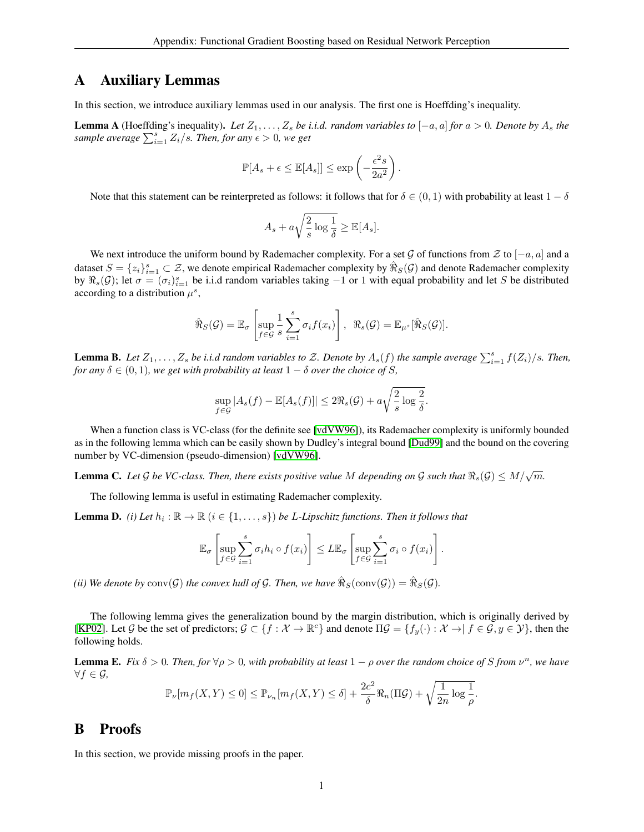# <span id="page-0-0"></span>A Auxiliary Lemmas

In this section, we introduce auxiliary lemmas used in our analysis. The first one is Hoeffding's inequality.

**Lemma A** (Hoeffding's inequality). Let  $Z_1, \ldots, Z_s$  be i.i.d. random variables to  $[-a, a]$  *for*  $a > 0$ . Denote by  $A_s$  the *sample average*  $\sum_{i=1}^{s} Z_i/s$ *. Then, for any*  $\epsilon > 0$ *, we get* 

$$
\mathbb{P}[A_s + \epsilon \leq \mathbb{E}[A_s]] \leq \exp\left(-\frac{\epsilon^2 s}{2a^2}\right).
$$

Note that this statement can be reinterpreted as follows: it follows that for  $\delta \in (0,1)$  with probability at least  $1-\delta$ 

$$
A_s + a\sqrt{\frac{2}{s}\log\frac{1}{\delta}} \ge \mathbb{E}[A_s].
$$

We next introduce the uniform bound by Rademacher complexity. For a set G of functions from  $\mathcal Z$  to  $[-a, a]$  and a dataset  $S = \{z_i\}_{i=1}^s \subset \mathcal{Z}$ , we denote empirical Rademacher complexity by  $\hat{\Re}_S(\mathcal{G})$  and denote Rademacher complexity by  $\Re_s(\mathcal{G})$ ; let  $\sigma = (\sigma_i)_{i=1}^s$  be i.i.d random variables taking  $-1$  or 1 with equal probability and let S be distributed according to a distribution  $\mu^s$ ,

$$
\hat{\mathcal{R}}_S(\mathcal{G}) = \mathbb{E}_{\sigma} \left[ \sup_{f \in \mathcal{G}} \frac{1}{s} \sum_{i=1}^s \sigma_i f(x_i) \right], \ \ \mathcal{R}_s(\mathcal{G}) = \mathbb{E}_{\mu^s} [\hat{\mathcal{R}}_S(\mathcal{G})].
$$

<span id="page-0-4"></span>**Lemma B.** Let  $Z_1, \ldots, Z_s$  be i.i.d random variables to Z. Denote by  $A_s(f)$  the sample average  $\sum_{i=1}^s f(Z_i)/s$ . Then, *for any*  $\delta \in (0, 1)$ *, we get with probability at least*  $1 - \delta$  *over the choice of S,* 

$$
\sup_{f \in \mathcal{G}} |A_s(f) - \mathbb{E}[A_s(f)]| \le 2\Re_s(\mathcal{G}) + a\sqrt{\frac{2}{s} \log \frac{2}{\delta}}.
$$

When a function class is VC-class (for the definite see [\[vdVW96\]](#page-7-0)), its Rademacher complexity is uniformly bounded as in the following lemma which can be easily shown by Dudley's integral bound [\[Dud99\]](#page-7-1) and the bound on the covering number by VC-dimension (pseudo-dimension) [\[vdVW96\]](#page-7-0).

<span id="page-0-3"></span>**Lemma C.** Let G be VC-class. Then, there exists positive value M depending on G such that  $\Re_s(\mathcal{G}) \leq M/\sqrt{m}$ .

The following lemma is useful in estimating Rademacher complexity.

<span id="page-0-1"></span>**Lemma D.** (*i*) Let  $h_i : \mathbb{R} \to \mathbb{R}$  ( $i \in \{1, \ldots, s\}$ ) be L-Lipschitz functions. Then it follows that

$$
\mathbb{E}_{\sigma}\left[\sup_{f\in\mathcal{G}}\sum_{i=1}^s\sigma_i h_i\circ f(x_i)\right]\leq L\mathbb{E}_{\sigma}\left[\sup_{f\in\mathcal{G}}\sum_{i=1}^s\sigma_i\circ f(x_i)\right].
$$

(*ii*) We denote by  $\text{conv}(\mathcal{G})$  the convex hull of  $\mathcal{G}$ . Then, we have  $\hat{\mathfrak{R}}_S(\text{conv}(\mathcal{G})) = \hat{\mathfrak{R}}_S(\mathcal{G})$ .

The following lemma gives the generalization bound by the margin distribution, which is originally derived by [\[KP02\]](#page-7-2). Let G be the set of predictors;  $G \subset \{f : \mathcal{X} \to \mathbb{R}^c\}$  and denote  $\Pi \mathcal{G} = \{f_y(\cdot) : \mathcal{X} \to f \in \mathcal{G}, y \in \mathcal{Y}\}$ , then the following holds.

<span id="page-0-2"></span>**Lemma E.** Fix  $\delta > 0$ . Then, for  $\forall \rho > 0$ , with probability at least  $1 - \rho$  over the random choice of S from  $\nu^n$ , we have ∀f ∈ G*,*

$$
\mathbb{P}_{\nu}[m_f(X,Y) \leq 0] \leq \mathbb{P}_{\nu_n}[m_f(X,Y) \leq \delta] + \frac{2c^2}{\delta} \Re_n(\Pi \mathcal{G}) + \sqrt{\frac{1}{2n} \log \frac{1}{\rho}}.
$$

## B Proofs

In this section, we provide missing proofs in the paper.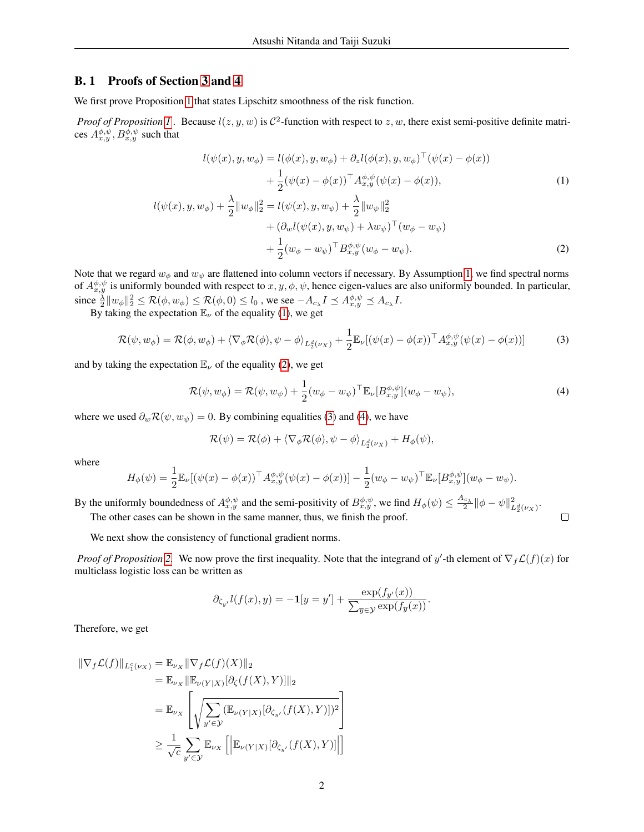### B. 1 Proofs of Section [3](#page-0-0) and [4](#page-0-0)

We first prove Proposition [1](#page-2-0) that states Lipschitz smoothness of the risk function.

*Proof of Proposition [1](#page-2-0)*. Because  $l(z, y, w)$  is  $C^2$ -function with respect to  $z, w$ , there exist semi-positive definite matrices  $A^{\phi, \psi}_{x,y}, B^{\phi, \psi}_{x,y}$  such that

<span id="page-1-0"></span>
$$
l(\psi(x), y, w_{\phi}) = l(\phi(x), y, w_{\phi}) + \partial_z l(\phi(x), y, w_{\phi})^{\top}(\psi(x) - \phi(x)) + \frac{1}{2}(\psi(x) - \phi(x))^{\top} A_{x,y}^{\phi,\psi}(\psi(x) - \phi(x)),
$$
(1)  

$$
l(\psi(x), y, w_{\phi}) + \frac{\lambda}{2} ||w_{\phi}||_2^2 = l(\psi(x), y, w_{\psi}) + \frac{\lambda}{2} ||w_{\psi}||_2^2 + (\partial_w l(\psi(x), y, w_{\psi}) + \lambda w_{\psi})^{\top} (w_{\phi} - w_{\psi}) + \frac{1}{2} (w_{\phi} - w_{\psi})^{\top} B_{x,y}^{\phi,\psi}(w_{\phi} - w_{\psi}).
$$
(2)

Note that we regard  $w_{\phi}$  and  $w_{\psi}$  are flattened into column vectors if necessary. By Assumption [1,](#page-0-0) we find spectral norms of  $A_{x,y}^{\phi,\psi}$  is uniformly bounded with respect to  $x, y, \phi, \psi$ , hence eigen-values are also uniformly bounded. In particular, since  $\frac{\lambda}{2}||w_{\phi}||_2^2 \leq \mathcal{R}(\phi, w_{\phi}) \leq \mathcal{R}(\phi, 0) \leq l_0$  , we see  $-A_{c_{\lambda}}I \preceq A^{\phi, \psi}_{x, y} \preceq A_{c_{\lambda}}I$ .

By taking the expectation  $\mathbb{E}_{\nu}$  of the equality [\(1\)](#page-1-0), we get

$$
\mathcal{R}(\psi, w_{\phi}) = \mathcal{R}(\phi, w_{\phi}) + \langle \nabla_{\phi} \mathcal{R}(\phi), \psi - \phi \rangle_{L_2^d(\nu_X)} + \frac{1}{2} \mathbb{E}_{\nu} [(\psi(x) - \phi(x))^\top A_{x,y}^{\phi, \psi}(\psi(x) - \phi(x))]
$$
(3)

and by taking the expectation  $\mathbb{E}_{\nu}$  of the equality [\(2\)](#page-1-1), we get

<span id="page-1-3"></span><span id="page-1-2"></span><span id="page-1-1"></span>
$$
\mathcal{R}(\psi, w_{\phi}) = \mathcal{R}(\psi, w_{\psi}) + \frac{1}{2}(w_{\phi} - w_{\psi})^{\top} \mathbb{E}_{\nu} [B_{x,y}^{\phi,\psi}](w_{\phi} - w_{\psi}), \tag{4}
$$

where we used  $\partial_w \mathcal{R}(\psi, w_{\psi}) = 0$ . By combining equalities [\(3\)](#page-1-2) and [\(4\)](#page-1-3), we have

$$
\mathcal{R}(\psi) = \mathcal{R}(\phi) + \langle \nabla_{\phi} \mathcal{R}(\phi), \psi - \phi \rangle_{L_2^d(\nu_X)} + H_{\phi}(\psi),
$$

where

$$
H_{\phi}(\psi) = \frac{1}{2} \mathbb{E}_{\nu} [(\psi(x) - \phi(x))^\top A_{x,y}^{\phi,\psi}(\psi(x) - \phi(x))] - \frac{1}{2} (w_{\phi} - w_{\psi})^\top \mathbb{E}_{\nu} [B_{x,y}^{\phi,\psi}](w_{\phi} - w_{\psi}).
$$

By the uniformly boundedness of  $A_{x,y}^{\phi,\psi}$  and the semi-positivity of  $B_{x,y}^{\phi,\psi}$ , we find  $H_{\phi}(\psi) \leq \frac{A_{c_\lambda}}{2} ||\phi - \psi||_{L_2^d(\nu_X)}^2$ .  $\Box$ The other cases can be shown in the same manner, thus, we finish the proof.

We next show the consistency of functional gradient norms.

*Proof of Proposition* [2.](#page-3-0) We now prove the first inequality. Note that the integrand of y'-th element of  $\nabla_f \mathcal{L}(f)(x)$  for multiclass logistic loss can be written as

$$
\partial_{\zeta_{y'}} l(f(x), y) = -\mathbf{1}[y = y'] + \frac{\exp(f_{y'}(x))}{\sum_{\overline{y} \in \mathcal{Y}} \exp(f_{\overline{y}}(x))}.
$$

Therefore, we get

$$
\begin{aligned} \|\nabla_f \mathcal{L}(f)\|_{L_1^c(\nu_X)} &= \mathbb{E}_{\nu_X} \|\nabla_f \mathcal{L}(f)(X)\|_2 \\ &= \mathbb{E}_{\nu_X} \|\mathbb{E}_{\nu(Y|X)}[\partial_{\zeta}(f(X), Y)]\|_2 \\ &= \mathbb{E}_{\nu_X} \left[ \sqrt{\sum_{y' \in \mathcal{Y}} (\mathbb{E}_{\nu(Y|X)}[\partial_{\zeta_{y'}}(f(X), Y)])^2} \right] \\ &\geq \frac{1}{\sqrt{c}} \sum_{y' \in \mathcal{Y}} \mathbb{E}_{\nu_X} \left[ \left| \mathbb{E}_{\nu(Y|X)}[\partial_{\zeta_{y'}}(f(X), Y)] \right| \right] \end{aligned}
$$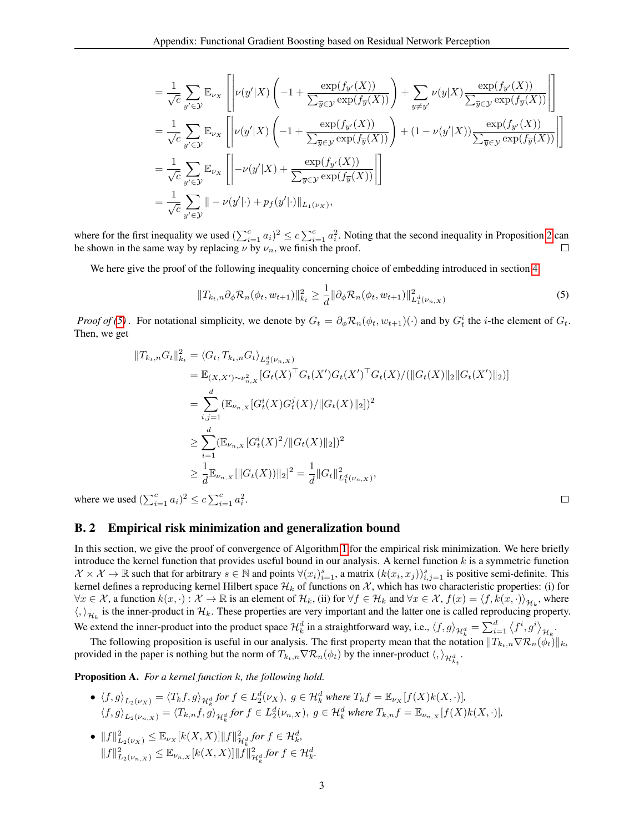$$
\begin{split}\n&= \frac{1}{\sqrt{c}} \sum_{y' \in \mathcal{Y}} \mathbb{E}_{\nu_X} \left[ \left| \nu(y'|X) \left( -1 + \frac{\exp(f_{y'}(X))}{\sum_{\overline{y} \in \mathcal{Y}} \exp(f_{\overline{y}}(X))} \right) + \sum_{y \neq y'} \nu(y|X) \frac{\exp(f_{y'}(X))}{\sum_{\overline{y} \in \mathcal{Y}} \exp(f_{\overline{y}}(X))} \right| \right] \\
&= \frac{1}{\sqrt{c}} \sum_{y' \in \mathcal{Y}} \mathbb{E}_{\nu_X} \left[ \left| \nu(y'|X) \left( -1 + \frac{\exp(f_{y'}(X))}{\sum_{\overline{y} \in \mathcal{Y}} \exp(f_{\overline{y}}(X))} \right) + (1 - \nu(y'|X)) \frac{\exp(f_{y'}(X))}{\sum_{\overline{y} \in \mathcal{Y}} \exp(f_{\overline{y}}(X))} \right| \right] \\
&= \frac{1}{\sqrt{c}} \sum_{y' \in \mathcal{Y}} \mathbb{E}_{\nu_X} \left[ \left| -\nu(y'|X) + \frac{\exp(f_{y'}(X))}{\sum_{\overline{y} \in \mathcal{Y}} \exp(f_{\overline{y}}(X))} \right| \right] \\
&= \frac{1}{\sqrt{c}} \sum_{y' \in \mathcal{Y}} || -\nu(y'||) + p_f(y'||) ||_{L_1(\nu_X)},\n\end{split}
$$

where for the first inequality we used  $(\sum_{i=1}^{c} a_i)^2 \le c \sum_{i=1}^{c} a_i^2$ . Noting that the second inequality in Proposition [2](#page-3-0) can be shown in the same way by replacing  $\nu$  by  $\nu_n$ , we finish the proof.  $\Box$ 

We here give the proof of the following inequality concerning choice of embedding introduced in section [4.](#page-0-0)

$$
||T_{k_t,n}\partial_{\phi}\mathcal{R}_n(\phi_t, w_{t+1})||_{k_t}^2 \ge \frac{1}{d}||\partial_{\phi}\mathcal{R}_n(\phi_t, w_{t+1})||_{L_1^d(\nu_{n,X})}^2
$$
\n(5)

*Proof of* [\(5\)](#page-2-1). For notational simplicity, we denote by  $G_t = \partial_{\phi} \mathcal{R}_n(\phi_t, w_{t+1})(\cdot)$  and by  $G_t^i$  the *i*-the element of  $G_t$ . Then, we get

$$
||T_{k_t,n}G_t||_{k_t}^2 = \langle G_t, T_{k_t,n}G_t \rangle_{L_2^d(\nu_{n,X})}
$$
  
\n
$$
= \mathbb{E}_{(X,X') \sim \nu_{n,X}^2} [G_t(X)^\top G_t(X') G_t(X')^\top G_t(X) / (||G_t(X)||_2||G_t(X')||_2)]
$$
  
\n
$$
= \sum_{i,j=1}^d (\mathbb{E}_{\nu_{n,X}} [G_t^i(X) G_t^j(X) / ||G_t(X)||_2])^2
$$
  
\n
$$
\geq \sum_{i=1}^d (\mathbb{E}_{\nu_{n,X}} [G_t^i(X)^2 / ||G_t(X)||_2])^2
$$
  
\n
$$
\geq \frac{1}{d} \mathbb{E}_{\nu_{n,X}} [||G_t(X))||_2]^2 = \frac{1}{d} ||G_t||_{L_1^d(\nu_{n,X})}^2,
$$

where we used  $(\sum_{i=1}^{c} a_i)^2 \le c \sum_{i=1}^{c} a_i^2$ .

#### <span id="page-2-1"></span> $\Box$

### B. 2 Empirical risk minimization and generalization bound

In this section, we give the proof of convergence of Algorithm [1](#page-0-0) for the empirical risk minimization. We here briefly introduce the kernel function that provides useful bound in our analysis. A kernel function  $k$  is a symmetric function  $\mathcal{X} \times \mathcal{X} \to \mathbb{R}$  such that for arbitrary  $s \in \mathbb{N}$  and points  $\forall (x_i)_{i=1}^s$ , a matrix  $(k(x_i, x_j))_{i,j=1}^s$  is positive semi-definite. This kernel defines a reproducing kernel Hilbert space  $\mathcal{H}_k$  of functions on  $\mathcal{X}$ , which has two characteristic properties: (i) for  $\forall x \in \mathcal{X}$ , a function  $k(x, \cdot): \mathcal{X} \to \mathbb{R}$  is an element of  $\mathcal{H}_k$ , (ii) for  $\forall f \in \mathcal{H}_k$  and  $\forall x \in \mathcal{X}$ ,  $f(x) = \langle f, k(x, \cdot) \rangle_{\mathcal{H}_k}$ , where  $\langle,\rangle_{\mathcal{H}_k}$  is the inner-product in  $\mathcal{H}_k$ . These properties are very important and the latter one is called reproducing property. We extend the inner-product into the product space  $\mathcal{H}_k^d$  in a straightforward way, i.e.,  $\langle f, g \rangle_{\mathcal{H}_k^d} = \sum_{i=1}^d \langle f^i, g^i \rangle_{\mathcal{H}_k}$ .

The following proposition is useful in our analysis. The first property mean that the notation  $||T_{k_t,n}\nabla R_n(\phi_t)||_{k_t}$ provided in the paper is nothing but the norm of  $T_{k_t,n} \nabla \mathcal{R}_n(\phi_t)$  by the inner-product  $\langle,\rangle_{\mathcal{H}^d_{k_t}}$ .

<span id="page-2-0"></span>Proposition A. *For a kernel function* k*, the following hold.*

- $\blacklozenge \langle f, g \rangle_{L_2(\nu_X)} = \langle T_k f, g \rangle_{\mathcal{H}_k^d}$  for  $f \in L_2^d(\nu_X), g \in \mathcal{H}_k^d$  where  $T_k f = \mathbb{E}_{\nu_X}[f(X)k(X, \cdot)],$  $\langle f,g \rangle_{L_2(\nu_{n,X})} = \langle T_{k,n}f,g \rangle_{\mathcal{H}^d_k}$  for  $f \in L_2^d(\nu_{n,X}), g \in \mathcal{H}^d_k$  where  $T_{k,n}f = \mathbb{E}_{\nu_{n,X}}[f(X)k(X, \cdot)],$
- $||f||^2_{L_2(\nu_X)} \leq \mathbb{E}_{\nu_X}[k(X,X)] ||f||^2_{\mathcal{H}^d_k}$  for  $f \in \mathcal{H}^d_k$ ,  $||f||^2_{L_2(\nu_{n,X})} \leq \mathbb{E}_{\nu_{n,X}}[k(X,X)] ||f||^2_{\mathcal{H}^d_k}$  for  $f \in \mathcal{H}^d_k$ .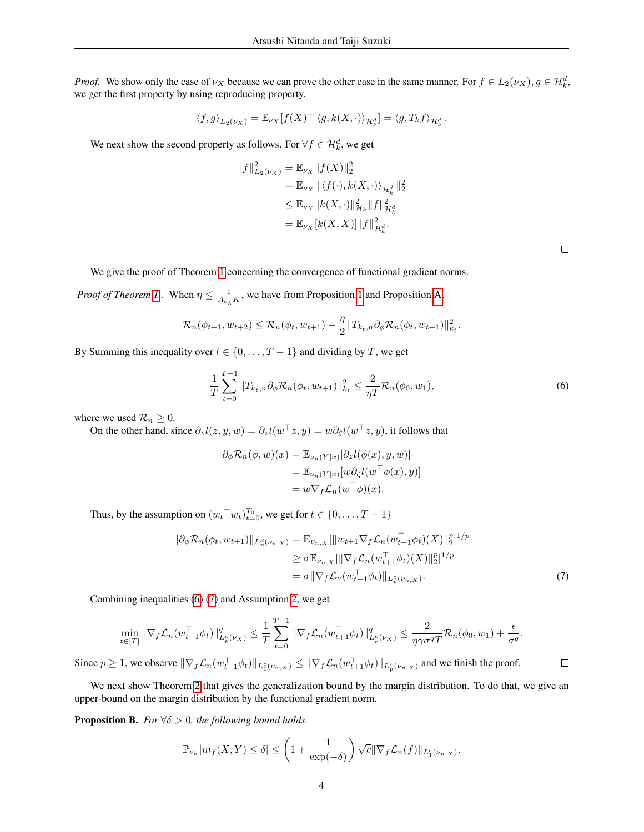*Proof.* We show only the case of  $\nu_X$  because we can prove the other case in the same manner. For  $f \in L_2(\nu_X)$ ,  $g \in H_k^d$ , we get the first property by using reproducing property,

$$
\langle f, g \rangle_{L_2(\nu_X)} = \mathbb{E}_{\nu_X} [f(X) \top \, \langle g, k(X, \cdot) \rangle_{\mathcal{H}_k^d}] = \langle g, T_k f \rangle_{\mathcal{H}_k^d}\,.
$$

We next show the second property as follows. For  $\forall f \in \mathcal{H}_k^d$ , we get

$$
||f||_{L_2(\nu_X)}^2 = \mathbb{E}_{\nu_X} ||f(X)||_2^2
$$
  
=  $\mathbb{E}_{\nu_X} || \langle f(\cdot), k(X, \cdot) \rangle_{\mathcal{H}_\kappa^d} ||_2^2$   
 $\leq \mathbb{E}_{\nu_X} ||k(X, \cdot)||_{\mathcal{H}_k}^2 ||f||_{\mathcal{H}_\kappa^d}^2$   
=  $\mathbb{E}_{\nu_X} [k(X, X)] ||f||_{\mathcal{H}_\kappa^d}^2.$ 

<span id="page-3-1"></span>

<span id="page-3-2"></span> $\Box$ 

We give the proof of Theorem [1](#page-0-0) concerning the convergence of functional gradient norms.

*Proof of Theorem [1](#page-2-0)*. When  $\eta \leq \frac{1}{A_{c_{\lambda}}K}$ , we have from Proposition 1 and Proposition [A,](#page-2-0)

$$
\mathcal{R}_n(\phi_{t+1}, w_{t+2}) \leq \mathcal{R}_n(\phi_t, w_{t+1}) - \frac{\eta}{2} ||T_{k_t,n} \partial_{\phi} \mathcal{R}_n(\phi_t, w_{t+1})||_{k_t}^2.
$$

By Summing this inequality over  $t \in \{0, \ldots, T-1\}$  and dividing by T, we get

$$
\frac{1}{T} \sum_{t=0}^{T-1} \|T_{k_t,n} \partial_{\phi} \mathcal{R}_n(\phi_t, w_{t+1})\|_{k_t}^2 \le \frac{2}{\eta T} \mathcal{R}_n(\phi_0, w_1),\tag{6}
$$

where we used  $\mathcal{R}_n \geq 0$ .

On the other hand, since  $\partial_z l(z, y, w) = \partial_z l(w^\top z, y) = w \partial_\zeta l(w^\top z, y)$ , it follows that

$$
\partial_{\phi} \mathcal{R}_n(\phi, w)(x) = \mathbb{E}_{\nu_n(Y|x)}[\partial_z l(\phi(x), y, w)]
$$
  
= 
$$
\mathbb{E}_{\nu_n(Y|x)}[w \partial_{\zeta} l(w^{\top} \phi(x), y)]
$$
  
= 
$$
w \nabla_f \mathcal{L}_n(w^{\top} \phi)(x).
$$

Thus, by the assumption on  $(w_t^\top w_t)_{t=0}^{T_0}$ , we get for  $t \in \{0, \ldots, T-1\}$ 

$$
\|\partial_{\phi} \mathcal{R}_n(\phi_t, w_{t+1})\|_{L^d_p(\nu_{n,X})} = \mathbb{E}_{\nu_{n,X}} [\|w_{t+1} \nabla_f \mathcal{L}_n(w_{t+1}^\top \phi_t)(X)\|_2^p]^{1/p}
$$
  
\n
$$
\geq \sigma \mathbb{E}_{\nu_{n,X}} [\|\nabla_f \mathcal{L}_n(w_{t+1}^\top \phi_t)(X)\|_2^p]^{1/p}
$$
  
\n
$$
= \sigma \|\nabla_f \mathcal{L}_n(w_{t+1}^\top \phi_t)\|_{L^c_p(\nu_{n,X})}.
$$
\n(7)

Combining inequalities [\(6\)](#page-3-1) [\(7\)](#page-3-2) and Assumption [2,](#page-0-0) we get

$$
\min_{t\in[T]}\|\nabla_f \mathcal{L}_n(w_{t+1}^\top \phi_t)\|_{L_p^c(\nu_X)}^q \leq \frac{1}{T} \sum_{t=0}^{T-1} \|\nabla_f \mathcal{L}_n(w_{t+1}^\top \phi_t)\|_{L_p^c(\nu_X)}^q \leq \frac{2}{\eta \gamma \sigma^q T} \mathcal{R}_n(\phi_0, w_1) + \frac{\epsilon}{\sigma^q}.
$$

Since  $p \ge 1$ , we observe  $\|\nabla_f \mathcal{L}_n(w_{t+1}^{\top} \phi_t)\|_{L_1^c(\nu_{n,X})} \le \|\nabla_f \mathcal{L}_n(w_{t+1}^{\top} \phi_t)\|_{L_p^c(\nu_{n,X})}$  and we finish the proof.  $\Box$ 

We next show Theorem [2](#page-0-0) that gives the generalization bound by the margin distribution. To do that, we give an upper-bound on the margin distribution by the functional gradient norm.

<span id="page-3-0"></span>**Proposition B.** *For*  $\forall \delta > 0$ *, the following bound holds.* 

$$
\mathbb{P}_{\nu_n}[m_f(X,Y) \leq \delta] \leq \left(1 + \frac{1}{\exp(-\delta)}\right) \sqrt{c} \|\nabla_f \mathcal{L}_n(f)\|_{L_1^c(\nu_{n,X})}.
$$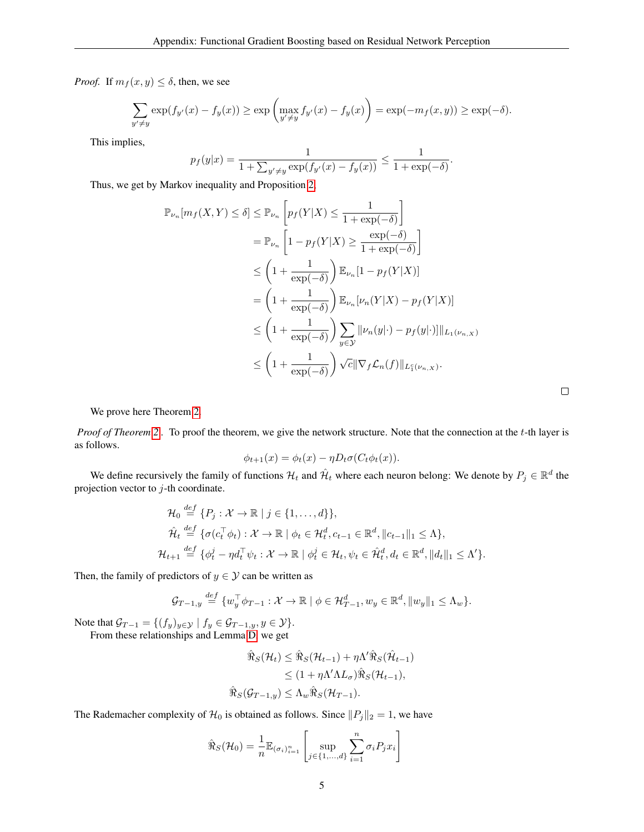*Proof.* If  $m_f(x, y) \le \delta$ , then, we see

$$
\sum_{y' \neq y} \exp(f_{y'}(x) - f_y(x)) \geq \exp\left(\max_{y' \neq y} f_{y'}(x) - f_y(x)\right) = \exp(-m_f(x, y)) \geq \exp(-\delta).
$$

This implies,

$$
p_f(y|x) = \frac{1}{1 + \sum_{y' \neq y} \exp(f_{y'}(x) - f_y(x))} \le \frac{1}{1 + \exp(-\delta)}.
$$

r.

Thus, we get by Markov inequality and Proposition [2,](#page-3-0)

$$
\mathbb{P}_{\nu_n}[m_f(X, Y) \le \delta] \le \mathbb{P}_{\nu_n}\left[p_f(Y|X) \le \frac{1}{1 + \exp(-\delta)}\right]
$$
  
\n
$$
= \mathbb{P}_{\nu_n}\left[1 - p_f(Y|X) \ge \frac{\exp(-\delta)}{1 + \exp(-\delta)}\right]
$$
  
\n
$$
\le \left(1 + \frac{1}{\exp(-\delta)}\right) \mathbb{E}_{\nu_n}[1 - p_f(Y|X)]
$$
  
\n
$$
= \left(1 + \frac{1}{\exp(-\delta)}\right) \mathbb{E}_{\nu_n}[\nu_n(Y|X) - p_f(Y|X)]
$$
  
\n
$$
\le \left(1 + \frac{1}{\exp(-\delta)}\right) \sum_{y \in \mathcal{Y}} ||\nu_n(y| \cdot) - p_f(y| \cdot)|| ||_{L_1(\nu_{n,X})}
$$
  
\n
$$
\le \left(1 + \frac{1}{\exp(-\delta)}\right) \sqrt{c} ||\nabla_f \mathcal{L}_n(f)||_{L_1^c(\nu_{n,X})}.
$$

 $\Box$ 

We prove here Theorem [2.](#page-0-0)

*Proof of Theorem [2](#page-0-0) .* To proof the theorem, we give the network structure. Note that the connection at the t-th layer is as follows.

$$
\phi_{t+1}(x) = \phi_t(x) - \eta D_t \sigma(C_t \phi_t(x)).
$$

We define recursively the family of functions  $H_t$  and  $\hat{H}_t$  where each neuron belong: We denote by  $P_j \in \mathbb{R}^d$  the projection vector to  $j$ -th coordinate.

$$
\mathcal{H}_0 \stackrel{\text{def}}{=} \{P_j : \mathcal{X} \to \mathbb{R} \mid j \in \{1, \dots, d\}\},
$$
\n
$$
\hat{\mathcal{H}}_t \stackrel{\text{def}}{=} \{ \sigma(c_t^\top \phi_t) : \mathcal{X} \to \mathbb{R} \mid \phi_t \in \mathcal{H}_t^d, c_{t-1} \in \mathbb{R}^d, \|c_{t-1}\|_1 \leq \Lambda \},
$$
\n
$$
\mathcal{H}_{t+1} \stackrel{\text{def}}{=} \{ \phi_t^j - \eta d_t^\top \psi_t : \mathcal{X} \to \mathbb{R} \mid \phi_t^j \in \mathcal{H}_t, \psi_t \in \hat{\mathcal{H}}_t^d, d_t \in \mathbb{R}^d, \|d_t\|_1 \leq \Lambda' \}.
$$

Then, the family of predictors of  $y \in Y$  can be written as

def

$$
\mathcal{G}_{T-1,y} \stackrel{def}{=} \{w_y^\top \phi_{T-1} : \mathcal{X} \to \mathbb{R} \mid \phi \in \mathcal{H}_{T-1}^d, w_y \in \mathbb{R}^d, ||w_y||_1 \leq \Lambda_w \}.
$$

Note that  $\mathcal{G}_{T-1} = \{ (f_y)_{y \in \mathcal{Y}} \mid f_y \in \mathcal{G}_{T-1,y}, y \in \mathcal{Y} \}.$ From these relationships and Lemma [D,](#page-0-1) we get

$$
\hat{\mathfrak{R}}_S(\mathcal{H}_t) \leq \hat{\mathfrak{R}}_S(\mathcal{H}_{t-1}) + \eta \Lambda' \hat{\mathfrak{R}}_S(\hat{\mathcal{H}}_{t-1})
$$
  
\n
$$
\leq (1 + \eta \Lambda' \Lambda L_\sigma) \hat{\mathfrak{R}}_S(\mathcal{H}_{t-1}),
$$
  
\n
$$
\hat{\mathfrak{R}}_S(\mathcal{G}_{T-1,y}) \leq \Lambda_w \hat{\mathfrak{R}}_S(\mathcal{H}_{T-1}).
$$

The Rademacher complexity of  $\mathcal{H}_0$  is obtained as follows. Since  $||P_j||_2 = 1$ , we have

$$
\hat{\Re}_S(\mathcal{H}_0) = \frac{1}{n} \mathbb{E}_{(\sigma_i)_{i=1}^n} \left[ \sup_{j \in \{1, \dots, d\}} \sum_{i=1}^n \sigma_i P_j x_i \right]
$$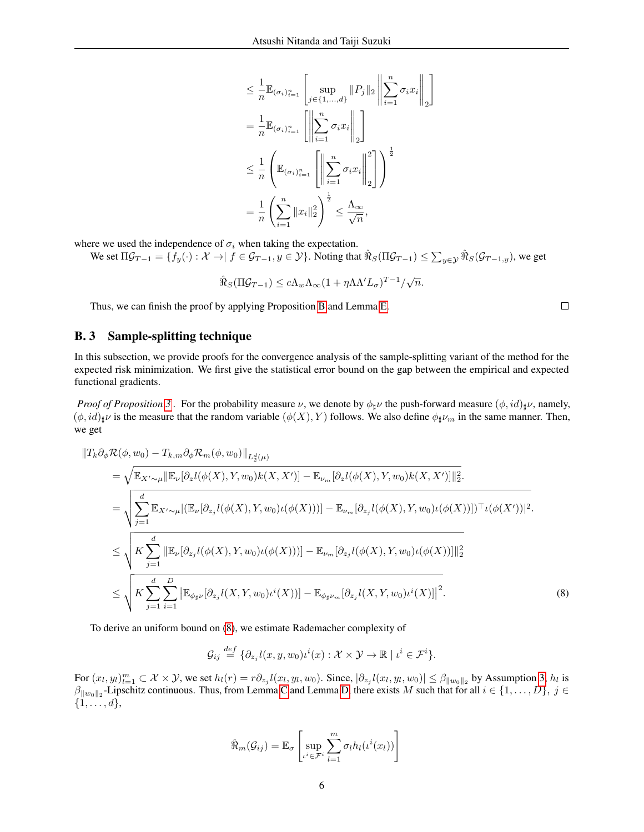$$
\leq \frac{1}{n} \mathbb{E}_{(\sigma_i)_{i=1}^n} \left[ \sup_{j \in \{1, \ldots, d\}} ||P_j||_2 \left\| \sum_{i=1}^n \sigma_i x_i \right\|_2 \right]
$$
  
\n
$$
= \frac{1}{n} \mathbb{E}_{(\sigma_i)_{i=1}^n} \left[ \left\| \sum_{i=1}^n \sigma_i x_i \right\|_2 \right]
$$
  
\n
$$
\leq \frac{1}{n} \left( \mathbb{E}_{(\sigma_i)_{i=1}^n} \left[ \left\| \sum_{i=1}^n \sigma_i x_i \right\|_2^2 \right] \right)^{\frac{1}{2}}
$$
  
\n
$$
= \frac{1}{n} \left( \sum_{i=1}^n ||x_i||_2^2 \right)^{\frac{1}{2}} \leq \frac{\Lambda_{\infty}}{\sqrt{n}},
$$

1

where we used the independence of  $\sigma_i$  when taking the expectation.

We set  $\Pi \mathcal{G}_{T-1} = \{ f_y(\cdot) : \mathcal{X} \to \mid f \in \mathcal{G}_{T-1}, y \in \mathcal{Y} \}$ . Noting that  $\hat{\Re}_S(\Pi \mathcal{G}_{T-1}) \leq \sum_{y \in \mathcal{Y}} \hat{\Re}_S(\mathcal{G}_{T-1,y})$ , we get

$$
\hat{\Re}_S(\Pi \mathcal{G}_{T-1}) \leq c \Lambda_w \Lambda_\infty (1 + \eta \Lambda' L_\sigma)^{T-1} / \sqrt{n}.
$$

Thus, we can finish the proof by applying Proposition [B](#page-3-0) and Lemma [E.](#page-0-2)

### B. 3 Sample-splitting technique

In this subsection, we provide proofs for the convergence analysis of the sample-splitting variant of the method for the expected risk minimization. We first give the statistical error bound on the gap between the empirical and expected functional gradients.

*Proof of Proposition* [3](#page-0-0). For the probability measure  $\nu$ , we denote by  $\phi_{\sharp}\nu$  the push-forward measure  $(\phi, id)_{\sharp}\nu$ , namely,  $(\phi, id)_{\sharp} \nu$  is the measure that the random variable  $(\phi(X), Y)$  follows. We also define  $\phi_{\sharp} \nu_m$  in the same manner. Then, we get

$$
\|T_k \partial_{\phi} \mathcal{R}(\phi, w_0) - T_{k,m} \partial_{\phi} \mathcal{R}_m(\phi, w_0) \|_{L_2^d(\mu)}
$$
\n
$$
= \sqrt{\mathbb{E}_{X' \sim \mu} \|\mathbb{E}_{\nu} [\partial_z l(\phi(X), Y, w_0) k(X, X')] - \mathbb{E}_{\nu_m} [\partial_z l(\phi(X), Y, w_0) k(X, X')] \|_2^2}.
$$
\n
$$
= \sqrt{\sum_{j=1}^d \mathbb{E}_{X' \sim \mu} |(\mathbb{E}_{\nu} [\partial_{z_j} l(\phi(X), Y, w_0) \iota(\phi(X)))] - \mathbb{E}_{\nu_m} [\partial_{z_j} l(\phi(X), Y, w_0) \iota(\phi(X))])^{\top} \iota(\phi(X'))|^2}.
$$
\n
$$
\leq \sqrt{K \sum_{j=1}^d \|\mathbb{E}_{\nu} [\partial_{z_j} l(\phi(X), Y, w_0) \iota(\phi(X)))\| - \mathbb{E}_{\nu_m} [\partial_{z_j} l(\phi(X), Y, w_0) \iota(\phi(X))] \|_2^2}
$$
\n
$$
\leq \sqrt{K \sum_{j=1}^d \sum_{i=1}^D |\mathbb{E}_{\phi_{\sharp} \nu} [\partial_{z_j} l(X, Y, w_0) \iota^i(X))] - \mathbb{E}_{\phi_{\sharp} \nu_m} [\partial_{z_j} l(X, Y, w_0) \iota^i(X)] \|^2}.
$$
\n(8)

To derive an uniform bound on [\(8\)](#page-5-0), we estimate Rademacher complexity of

$$
\mathcal{G}_{ij} \stackrel{def}{=} \{ \partial_{z_j} l(x, y, w_0) \iota^i(x) : \mathcal{X} \times \mathcal{Y} \to \mathbb{R} \mid \iota^i \in \mathcal{F}^i \}.
$$

For  $(x_l, y_l)_{l=1}^m \subset \mathcal{X} \times \mathcal{Y}$ , we set  $h_l(r) = r \partial_{z_j} l(x_l, y_l, w_0)$ . Since,  $|\partial_{z_j} l(x_l, y_l, w_0)| \leq \beta_{\|w_0\|_2}$  by Assumption [3,](#page-0-0)  $h_l$  is  $\beta_{\|w_0\|_2}$ -Lipschitz continuous. Thus, from Lemma [C](#page-0-3) and Lemma [D,](#page-0-1) there exists M such that for all  $i \in \{1, ..., D\}, \ j \in$  $\{1, \ldots, d\},\$ 

$$
\hat{\mathfrak{R}}_m(\mathcal{G}_{ij}) = \mathbb{E}_{\sigma} \left[ \sup_{\iota^i \in \mathcal{F}^i} \sum_{l=1}^m \sigma_l h_l(\iota^i(x_l)) \right]
$$

<span id="page-5-0"></span> $\Box$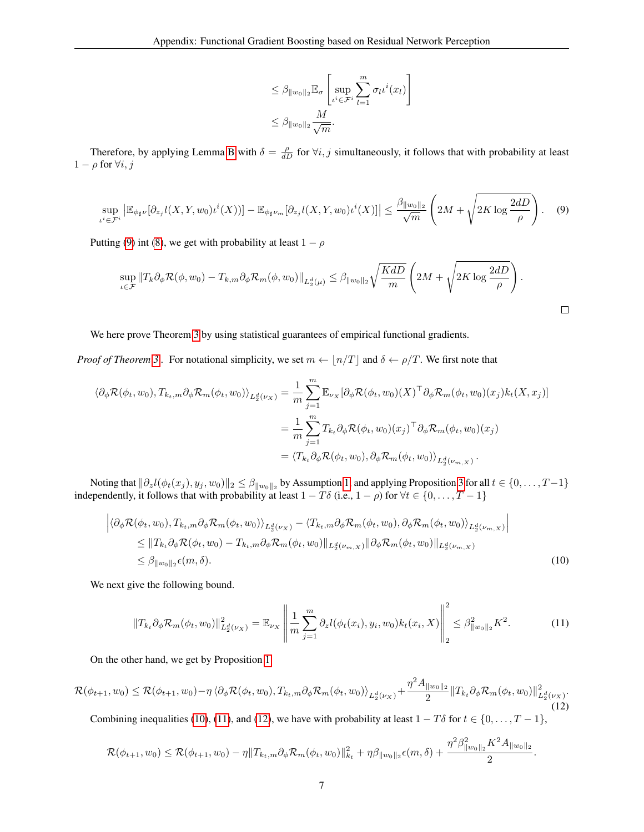$$
\leq \beta_{\|w_0\|_2} \mathbb{E}_{\sigma} \left[ \sup_{\iota^i \in \mathcal{F}^i} \sum_{l=1}^m \sigma_l \iota^i(x_l) \right]
$$
  

$$
\leq \beta_{\|w_0\|_2} \frac{M}{\sqrt{m}}.
$$

<span id="page-6-0"></span>Therefore, by applying Lemma [B](#page-0-4) with  $\delta = \frac{\rho}{dD}$  for  $\forall i, j$  simultaneously, it follows that with probability at least  $1 - \rho$  for  $\forall i, j$ 

$$
\sup_{\iota^i \in \mathcal{F}^i} \left| \mathbb{E}_{\phi_{\sharp}\nu} [\partial_{z_j} l(X, Y, w_0) \iota^i(X)) \right| - \mathbb{E}_{\phi_{\sharp}\nu_m} [\partial_{z_j} l(X, Y, w_0) \iota^i(X)] \right| \le \frac{\beta_{\|w_0\|_2}}{\sqrt{m}} \left( 2M + \sqrt{2K \log \frac{2dD}{\rho}} \right). \tag{9}
$$

Putting [\(9\)](#page-6-0) int [\(8\)](#page-5-0), we get with probability at least  $1 - \rho$ 

$$
\sup_{\iota \in \mathcal{F}} \|T_k \partial_{\phi} \mathcal{R}(\phi, w_0) - T_{k,m} \partial_{\phi} \mathcal{R}_m(\phi, w_0) \|_{L_2^d(\mu)} \leq \beta_{\|w_0\|_2} \sqrt{\frac{KdD}{m}} \left( 2M + \sqrt{2K \log \frac{2dD}{\rho}} \right).
$$

We here prove Theorem [3](#page-0-0) by using statistical guarantees of empirical functional gradients.

*Proof of Theorem* [3](#page-0-0). For notational simplicity, we set  $m \leftarrow \lfloor n/T \rfloor$  and  $\delta \leftarrow \rho/T$ . We first note that

$$
\langle \partial_{\phi} \mathcal{R}(\phi_t, w_0), T_{k_t,m} \partial_{\phi} \mathcal{R}_m(\phi_t, w_0) \rangle_{L_2^d(\nu_X)} = \frac{1}{m} \sum_{j=1}^m \mathbb{E}_{\nu_X} [\partial_{\phi} \mathcal{R}(\phi_t, w_0)(X)^\top \partial_{\phi} \mathcal{R}_m(\phi_t, w_0)(x_j) k_t(X, x_j)]
$$
  

$$
= \frac{1}{m} \sum_{j=1}^m T_{k_t} \partial_{\phi} \mathcal{R}(\phi_t, w_0)(x_j)^\top \partial_{\phi} \mathcal{R}_m(\phi_t, w_0)(x_j)
$$
  

$$
= \langle T_{k_t} \partial_{\phi} \mathcal{R}(\phi_t, w_0), \partial_{\phi} \mathcal{R}_m(\phi_t, w_0) \rangle_{L_2^d(\nu_{m,X})}.
$$

Noting that  $\|\partial_z l(\phi_t(x_j), y_j, w_0)\|_2 \leq \beta_{\|w_0\|_2}$  by Assumption [1,](#page-0-0) and applying Proposition [3](#page-0-0) for all  $t \in \{0, \ldots, T-1\}$ independently, it follows that with probability at least  $1 - T\delta$  (i.e.,  $1 - \rho$ ) for  $\forall t \in \{0, ..., T - 1\}$ 

$$
\begin{split} \left| \langle \partial_{\phi} \mathcal{R}(\phi_t, w_0), T_{k_t, m} \partial_{\phi} \mathcal{R}_m(\phi_t, w_0) \rangle_{L_2^d(\nu_X)} - \langle T_{k_t, m} \partial_{\phi} \mathcal{R}_m(\phi_t, w_0), \partial_{\phi} \mathcal{R}_m(\phi_t, w_0) \rangle_{L_2^d(\nu_{m,X})} \right| \\ \leq & \left\| T_{k_t} \partial_{\phi} \mathcal{R}(\phi_t, w_0) - T_{k_t, m} \partial_{\phi} \mathcal{R}_m(\phi_t, w_0) \right\|_{L_2^d(\nu_{m,X})} \left\| \partial_{\phi} \mathcal{R}_m(\phi_t, w_0) \right\|_{L_2^d(\nu_{m,X})} \\ \leq & \beta_{\|w_0\|_2} \epsilon(m, \delta). \end{split} \tag{10}
$$

We next give the following bound.

<span id="page-6-3"></span><span id="page-6-2"></span><span id="page-6-1"></span>
$$
||T_{k_t}\partial_{\phi}\mathcal{R}_m(\phi_t, w_0)||_{L_2^d(\nu_X)}^2 = \mathbb{E}_{\nu_X} \left\| \frac{1}{m} \sum_{j=1}^m \partial_z l(\phi_t(x_i), y_i, w_0) k_t(x_i, X) \right\|_2^2 \leq \beta_{\|w_0\|_2}^2 K^2.
$$
 (11)

On the other hand, we get by Proposition [1](#page-2-0)

$$
\mathcal{R}(\phi_{t+1}, w_0) \leq \mathcal{R}(\phi_{t+1}, w_0) - \eta \langle \partial_{\phi} \mathcal{R}(\phi_t, w_0), T_{k_t, m} \partial_{\phi} \mathcal{R}_m(\phi_t, w_0) \rangle_{L_2^d(\nu_X)} + \frac{\eta^2 A_{\|w_0\|_2}}{2} \|T_{k_t} \partial_{\phi} \mathcal{R}_m(\phi_t, w_0)\|_{L_2^d(\nu_X)}^2.
$$
\n
$$
(12)
$$

Combining inequalities [\(10\)](#page-6-1), [\(11\)](#page-6-2), and [\(12\)](#page-6-3), we have with probability at least  $1 - T\delta$  for  $t \in \{0, ..., T - 1\}$ ,

$$
\mathcal{R}(\phi_{t+1},w_0) \leq \mathcal{R}(\phi_{t+1},w_0) - \eta \|T_{k_t,m}\partial_{\phi}\mathcal{R}_m(\phi_t,w_0)\|_{k_t}^2 + \eta\beta_{\|w_0\|_2}\epsilon(m,\delta) + \frac{\eta^2\beta_{\|w_0\|_2}^2K^2A_{\|w_0\|_2}}{2}.
$$